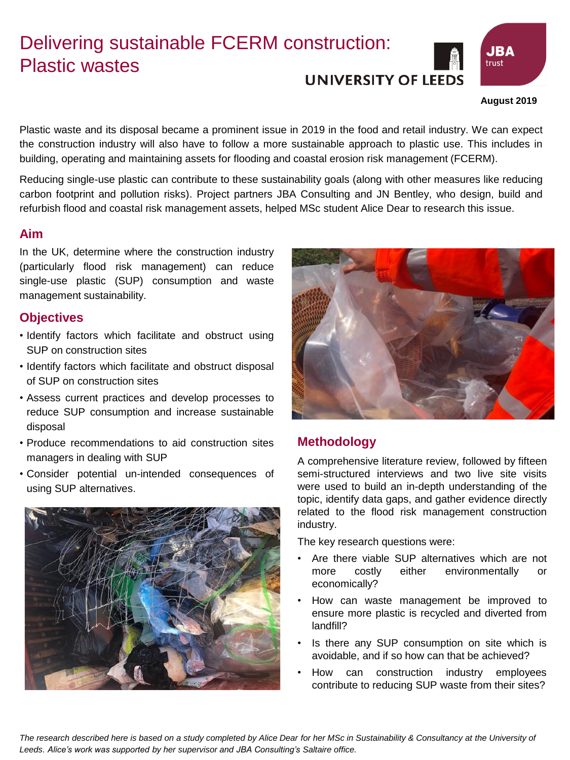## Delivering sustainable FCERM construction: Plastic wastes **UNIVERSITY OF LEEDS**



#### **August 2019**

Plastic waste and its disposal became a prominent issue in 2019 in the food and retail industry. We can expect the construction industry will also have to follow a more sustainable approach to plastic use. This includes in building, operating and maintaining assets for flooding and coastal erosion risk management (FCERM).

Reducing single-use plastic can contribute to these sustainability goals (along with other measures like reducing carbon footprint and pollution risks). Project partners JBA Consulting and JN Bentley, who design, build and refurbish flood and coastal risk management assets, helped MSc student Alice Dear to research this issue.

#### **Aim**

In the UK, determine where the construction industry (particularly flood risk management) can reduce single-use plastic (SUP) consumption and waste management sustainability.

### **Objectives**

- Identify factors which facilitate and obstruct using SUP on construction sites
- Identify factors which facilitate and obstruct disposal of SUP on construction sites
- Assess current practices and develop processes to reduce SUP consumption and increase sustainable disposal
- Produce recommendations to aid construction sites managers in dealing with SUP
- Consider potential un-intended consequences of using SUP alternatives.





### **Methodology**

A comprehensive literature review, followed by fifteen semi-structured interviews and two live site visits were used to build an in-depth understanding of the topic, identify data gaps, and gather evidence directly related to the flood risk management construction industry.

The key research questions were:

- Are there viable SUP alternatives which are not more costly either environmentally or economically?
- How can waste management be improved to ensure more plastic is recycled and diverted from landfill?
- Is there any SUP consumption on site which is avoidable, and if so how can that be achieved?
- How can construction industry employees contribute to reducing SUP waste from their sites?

*The research described here is based on a study completed by Alice Dear for her MSc in Sustainability & Consultancy at the University of Leeds. Alice's work was supported by her supervisor and JBA Consulting's Saltaire office.*